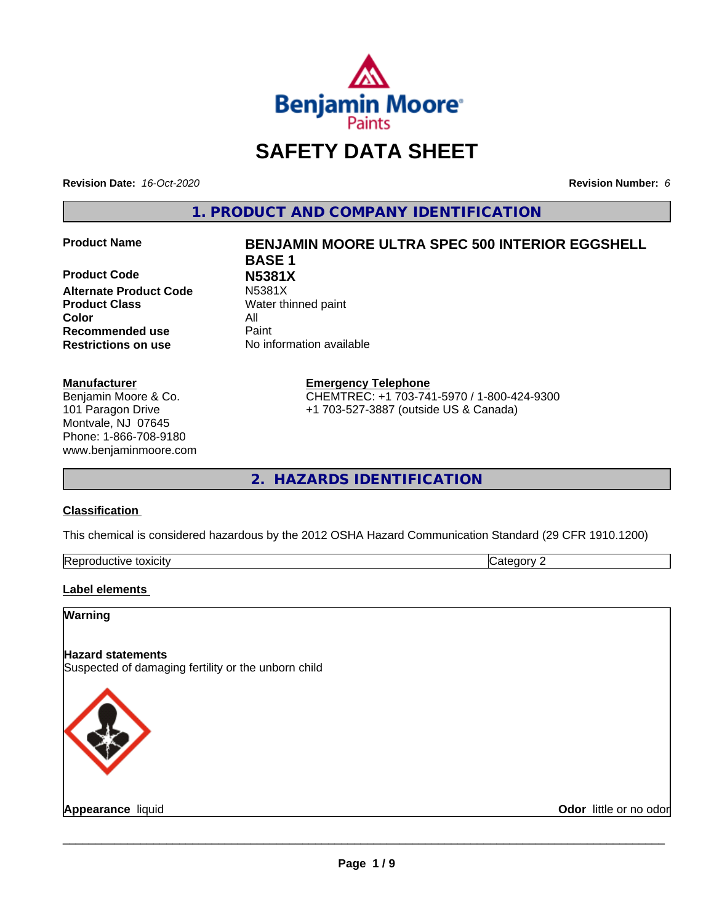

# **SAFETY DATA SHEET**

**Revision Date:** *16-Oct-2020* **Revision Number:** *6*

**1. PRODUCT AND COMPANY IDENTIFICATION**

**Product Code N5381X Alternate Product Code Product Class** Water thinned paint **Color** All **Recommended use** Paint **Restrictions on use** No information available

#### **Manufacturer**

Benjamin Moore & Co. 101 Paragon Drive Montvale, NJ 07645 Phone: 1-866-708-9180 www.benjaminmoore.com

# **Product Name BENJAMIN MOORE ULTRA SPEC 500 INTERIOR EGGSHELL BASE 1**

**Emergency Telephone**

CHEMTREC: +1 703-741-5970 / 1-800-424-9300 +1 703-527-3887 (outside US & Canada)

**2. HAZARDS IDENTIFICATION**

#### **Classification**

This chemical is considered hazardous by the 2012 OSHA Hazard Communication Standard (29 CFR 1910.1200)

| -<br>Repr<br>toxicity<br>. GUCTIVE | - - -<br>. זרי<br>.<br> |
|------------------------------------|-------------------------|

#### **Label elements**

### **Warning**

### **Hazard statements**

Suspected of damaging fertility or the unborn child



**Appearance** liquid **Contract Contract Contract Contract Contract Contract Contract Contract Contract Contract Contract Contract Contract Contract Contract Contract Contract Contract Contract Contract Contract Contract Con**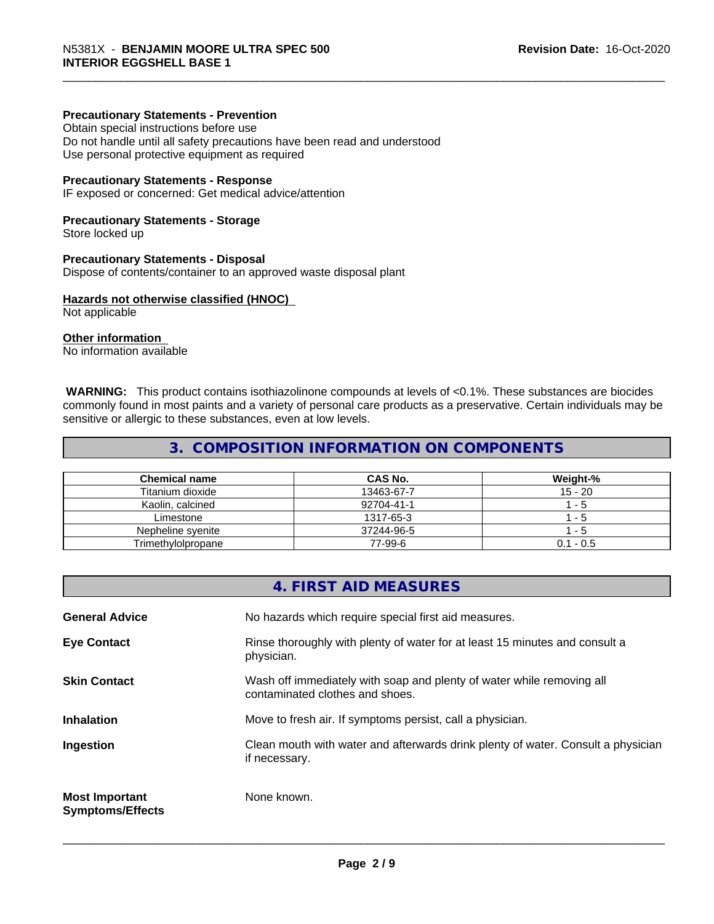#### **Precautionary Statements - Prevention**

Obtain special instructions before use Do not handle until all safety precautions have been read and understood Use personal protective equipment as required

#### **Precautionary Statements - Response**

IF exposed or concerned: Get medical advice/attention

#### **Precautionary Statements - Storage**

Store locked up

#### **Precautionary Statements - Disposal**

Dispose of contents/container to an approved waste disposal plant

#### **Hazards not otherwise classified (HNOC)**

Not applicable

#### **Other information**

No information available

 **WARNING:** This product contains isothiazolinone compounds at levels of <0.1%. These substances are biocides commonly found in most paints and a variety of personal care products as a preservative. Certain individuals may be sensitive or allergic to these substances, even at low levels.

# **3. COMPOSITION INFORMATION ON COMPONENTS**

| <b>Chemical name</b> | CAS No.    | Weight-%    |
|----------------------|------------|-------------|
| Titanium dioxide     | 13463-67-7 | $15 - 20$   |
| Kaolin, calcined     | 92704-41-1 | - 5         |
| Limestone            | 1317-65-3  | . - 5.      |
| Nepheline svenite    | 37244-96-5 | - 5         |
| Trimethylolpropane   | 77-99-6    | $0.1 - 0.5$ |

|                                                  | 4. FIRST AID MEASURES                                                                                    |
|--------------------------------------------------|----------------------------------------------------------------------------------------------------------|
| <b>General Advice</b>                            | No hazards which require special first aid measures.                                                     |
| <b>Eye Contact</b>                               | Rinse thoroughly with plenty of water for at least 15 minutes and consult a<br>physician.                |
| <b>Skin Contact</b>                              | Wash off immediately with soap and plenty of water while removing all<br>contaminated clothes and shoes. |
| <b>Inhalation</b>                                | Move to fresh air. If symptoms persist, call a physician.                                                |
| Ingestion                                        | Clean mouth with water and afterwards drink plenty of water. Consult a physician<br>if necessary.        |
| <b>Most Important</b><br><b>Symptoms/Effects</b> | None known.                                                                                              |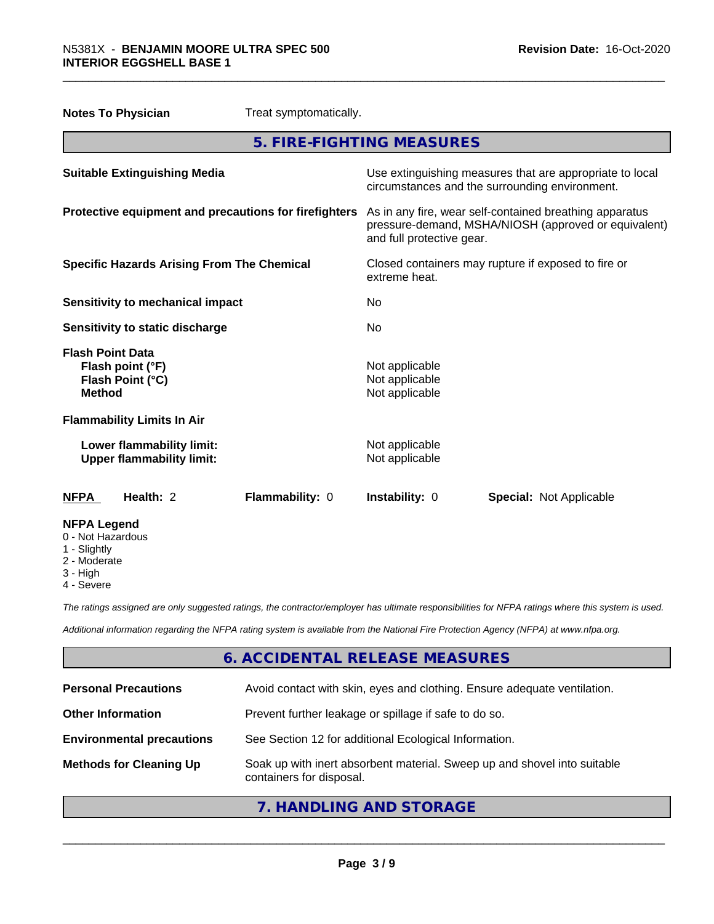| <b>Notes To Physician</b>                                                        | Treat symptomatically. |                                                                                                                                              |                                |  |
|----------------------------------------------------------------------------------|------------------------|----------------------------------------------------------------------------------------------------------------------------------------------|--------------------------------|--|
|                                                                                  |                        | 5. FIRE-FIGHTING MEASURES                                                                                                                    |                                |  |
| <b>Suitable Extinguishing Media</b>                                              |                        | Use extinguishing measures that are appropriate to local<br>circumstances and the surrounding environment.                                   |                                |  |
| Protective equipment and precautions for firefighters                            |                        | As in any fire, wear self-contained breathing apparatus<br>pressure-demand, MSHA/NIOSH (approved or equivalent)<br>and full protective gear. |                                |  |
| <b>Specific Hazards Arising From The Chemical</b>                                |                        | Closed containers may rupture if exposed to fire or<br>extreme heat.                                                                         |                                |  |
| <b>Sensitivity to mechanical impact</b>                                          |                        | No                                                                                                                                           |                                |  |
| Sensitivity to static discharge                                                  |                        | No.                                                                                                                                          |                                |  |
| <b>Flash Point Data</b><br>Flash point (°F)<br>Flash Point (°C)<br><b>Method</b> |                        | Not applicable<br>Not applicable<br>Not applicable                                                                                           |                                |  |
| <b>Flammability Limits In Air</b>                                                |                        |                                                                                                                                              |                                |  |
| Lower flammability limit:<br><b>Upper flammability limit:</b>                    |                        | Not applicable<br>Not applicable                                                                                                             |                                |  |
| Health: $2$<br><b>NFPA</b>                                                       | Flammability: 0        | Instability: 0                                                                                                                               | <b>Special: Not Applicable</b> |  |
| <b>NFPA Legend</b><br>0 - Not Hazardous<br>1 - Slightly                          |                        |                                                                                                                                              |                                |  |

- 2 Moderate
- 3 High
- 4 Severe

*The ratings assigned are only suggested ratings, the contractor/employer has ultimate responsibilities for NFPA ratings where this system is used.*

*Additional information regarding the NFPA rating system is available from the National Fire Protection Agency (NFPA) at www.nfpa.org.*

# **6. ACCIDENTAL RELEASE MEASURES**

| <b>Personal Precautions</b>      | Avoid contact with skin, eyes and clothing. Ensure adequate ventilation.                             |
|----------------------------------|------------------------------------------------------------------------------------------------------|
| <b>Other Information</b>         | Prevent further leakage or spillage if safe to do so.                                                |
| <b>Environmental precautions</b> | See Section 12 for additional Ecological Information.                                                |
| <b>Methods for Cleaning Up</b>   | Soak up with inert absorbent material. Sweep up and shovel into suitable<br>containers for disposal. |

**7. HANDLING AND STORAGE**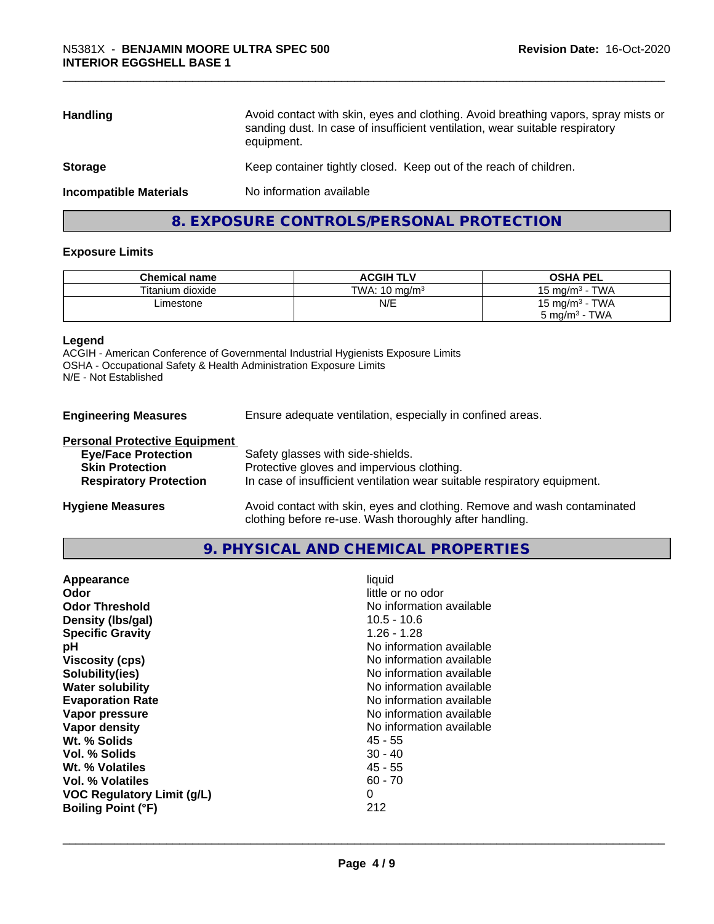| <b>Handling</b>               | Avoid contact with skin, eyes and clothing. Avoid breathing vapors, spray mists or<br>sanding dust. In case of insufficient ventilation, wear suitable respiratory<br>equipment. |
|-------------------------------|----------------------------------------------------------------------------------------------------------------------------------------------------------------------------------|
| <b>Storage</b>                | Keep container tightly closed. Keep out of the reach of children.                                                                                                                |
| <b>Incompatible Materials</b> | No information available                                                                                                                                                         |
|                               |                                                                                                                                                                                  |

# **8. EXPOSURE CONTROLS/PERSONAL PROTECTION**

#### **Exposure Limits**

| <b>Chemical name</b> | <b>ACGIH TLV</b>         | <b>OSHA PEL</b>                   |
|----------------------|--------------------------|-----------------------------------|
| Titanium dioxide     | TWA: $10 \text{ ma/m}^3$ | <b>TWA</b><br>15 ma/m $^3$        |
| ∟imestone            | N/E                      | <b>TWA</b><br>$15 \text{ mg/m}^3$ |
|                      |                          | <b>TWA</b><br>ാ mg/m $^3$         |

#### **Legend**

**Engineering** 

ACGIH - American Conference of Governmental Industrial Hygienists Exposure Limits OSHA - Occupational Safety & Health Administration Exposure Limits N/E - Not Established

| <b>Measures</b> |  | Ensure adequate ventilation, especially in confined areas. |
|-----------------|--|------------------------------------------------------------|
|                 |  |                                                            |

#### **Personal Protective Equipment**

| <b>Eye/Face Protection</b>    | Safety glasses with side-shields.                                        |
|-------------------------------|--------------------------------------------------------------------------|
| <b>Skin Protection</b>        | Protective gloves and impervious clothing.                               |
| <b>Respiratory Protection</b> | In case of insufficient ventilation wear suitable respiratory equipment. |
| <b>Hygiene Measures</b>       | Avoid contact with skin, eyes and clothing. Remove and wash contaminated |

# **9. PHYSICAL AND CHEMICAL PROPERTIES**

clothing before re-use. Wash thoroughly after handling.

| little or no odor<br>Odor<br>No information available<br><b>Odor Threshold</b><br>$10.5 - 10.6$<br>Density (Ibs/gal)<br>$1.26 - 1.28$<br><b>Specific Gravity</b><br>No information available<br>рH<br><b>Viscosity (cps)</b><br>No information available<br>No information available<br>Solubility(ies)<br>No information available<br><b>Water solubility</b><br><b>Evaporation Rate</b><br>No information available<br>No information available<br>Vapor pressure<br>No information available<br>Vapor density<br>Wt. % Solids<br>45 - 55<br>Vol. % Solids<br>$30 - 40$<br>$45 - 55$<br>Wt. % Volatiles<br>Vol. % Volatiles<br>$60 - 70$<br>0<br><b>VOC Regulatory Limit (g/L)</b><br>212<br><b>Boiling Point (°F)</b> |
|--------------------------------------------------------------------------------------------------------------------------------------------------------------------------------------------------------------------------------------------------------------------------------------------------------------------------------------------------------------------------------------------------------------------------------------------------------------------------------------------------------------------------------------------------------------------------------------------------------------------------------------------------------------------------------------------------------------------------|
|--------------------------------------------------------------------------------------------------------------------------------------------------------------------------------------------------------------------------------------------------------------------------------------------------------------------------------------------------------------------------------------------------------------------------------------------------------------------------------------------------------------------------------------------------------------------------------------------------------------------------------------------------------------------------------------------------------------------------|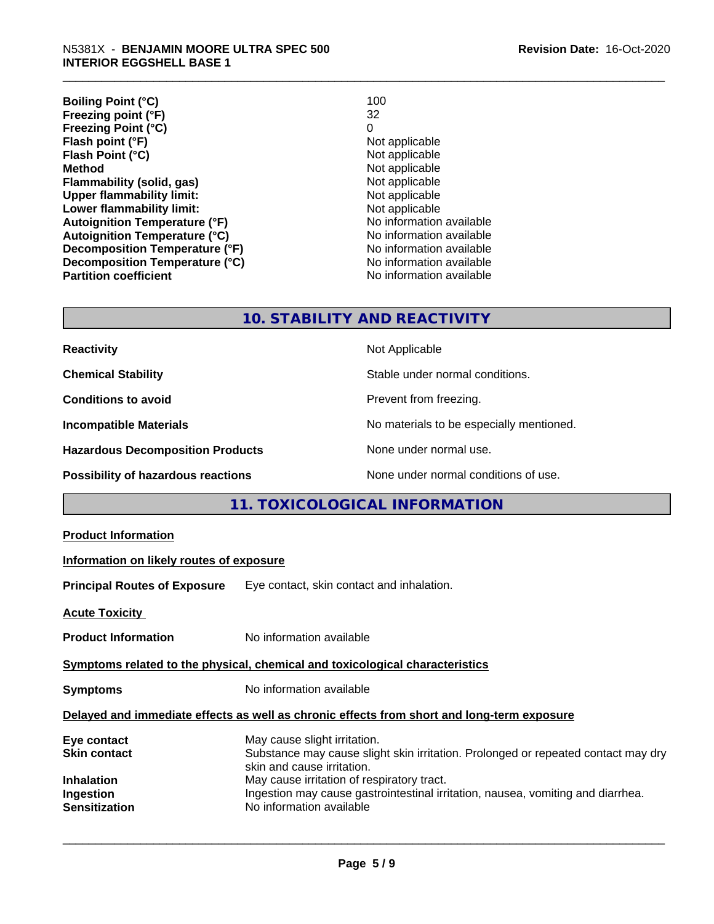**Boiling Point (°C)** 100<br> **Preezing point (°F)** 32 **Freezing point (°F)** 32 **Freezing Point (°C)** 0<br> **Flash point (°F)** 0<br>
Not applicable **Flash point (°F)**<br> **Flash Point (°C)**<br> **Flash Point (°C)**<br> **C Flash Point (°C)**<br>Method **Flammability (solid, gas)** Not applicable<br>
Upper flammability limit:<br>
Not applicable **Upper flammability limit:**<br> **Lower flammability limit:**<br>
Not applicable<br>
Not applicable **Lower flammability limit:**<br> **Autoignition Temperature (°F)** Not applicable Not applicable available **Autoignition Temperature (°F)**<br> **Autoignition Temperature (°C)** No information available **Autoignition Temperature (°C) Decomposition Temperature (°F)** No information available **Decomposition Temperature (°C)**<br> **Partition coefficient Partition coefficient Partition coefficient Partition coefficient Partition coefficient Partition coefficient Partition coefficient Partition coefficie**  **Revision Date:** 16-Oct-2020

**Not applicable**<br>Not applicable **No information available** 

### **10. STABILITY AND REACTIVITY**

| <b>Reactivity</b>                         | Not Applicable                           |
|-------------------------------------------|------------------------------------------|
| <b>Chemical Stability</b>                 | Stable under normal conditions.          |
| <b>Conditions to avoid</b>                | Prevent from freezing.                   |
| <b>Incompatible Materials</b>             | No materials to be especially mentioned. |
| <b>Hazardous Decomposition Products</b>   | None under normal use.                   |
| <b>Possibility of hazardous reactions</b> | None under normal conditions of use.     |

# **11. TOXICOLOGICAL INFORMATION**

| <b>Product Information</b>                                                                   |                                                                                                                                                                                                                                                                                                              |  |  |  |
|----------------------------------------------------------------------------------------------|--------------------------------------------------------------------------------------------------------------------------------------------------------------------------------------------------------------------------------------------------------------------------------------------------------------|--|--|--|
| Information on likely routes of exposure                                                     |                                                                                                                                                                                                                                                                                                              |  |  |  |
| <b>Principal Routes of Exposure</b>                                                          | Eye contact, skin contact and inhalation.                                                                                                                                                                                                                                                                    |  |  |  |
| <b>Acute Toxicity</b>                                                                        |                                                                                                                                                                                                                                                                                                              |  |  |  |
| <b>Product Information</b>                                                                   | No information available                                                                                                                                                                                                                                                                                     |  |  |  |
|                                                                                              | Symptoms related to the physical, chemical and toxicological characteristics                                                                                                                                                                                                                                 |  |  |  |
| <b>Symptoms</b>                                                                              | No information available                                                                                                                                                                                                                                                                                     |  |  |  |
|                                                                                              | Delayed and immediate effects as well as chronic effects from short and long-term exposure                                                                                                                                                                                                                   |  |  |  |
| Eye contact<br><b>Skin contact</b><br><b>Inhalation</b><br>Ingestion<br><b>Sensitization</b> | May cause slight irritation.<br>Substance may cause slight skin irritation. Prolonged or repeated contact may dry<br>skin and cause irritation.<br>May cause irritation of respiratory tract.<br>Ingestion may cause gastrointestinal irritation, nausea, vomiting and diarrhea.<br>No information available |  |  |  |
|                                                                                              |                                                                                                                                                                                                                                                                                                              |  |  |  |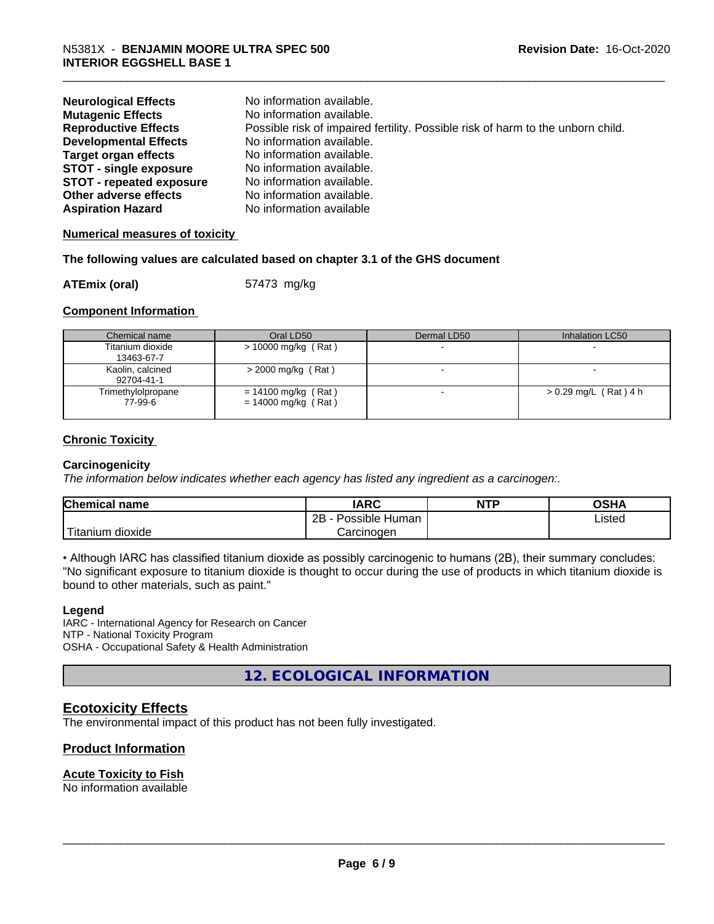| <b>Neurological Effects</b>     | No information available.                                                       |
|---------------------------------|---------------------------------------------------------------------------------|
| <b>Mutagenic Effects</b>        | No information available.                                                       |
| <b>Reproductive Effects</b>     | Possible risk of impaired fertility. Possible risk of harm to the unborn child. |
| <b>Developmental Effects</b>    | No information available.                                                       |
| <b>Target organ effects</b>     | No information available.                                                       |
| <b>STOT - single exposure</b>   | No information available.                                                       |
| <b>STOT - repeated exposure</b> | No information available.                                                       |
| Other adverse effects           | No information available.                                                       |
| <b>Aspiration Hazard</b>        | No information available                                                        |

#### **Numerical measures of toxicity**

#### **The following values are calculated based on chapter 3.1 of the GHS document**

**ATEmix (oral)** 57473 mg/kg

#### **Component Information**

| Chemical name                  | Oral LD50                                    | Dermal LD50 | Inhalation LC50         |
|--------------------------------|----------------------------------------------|-------------|-------------------------|
| Titanium dioxide<br>13463-67-7 | $> 10000$ mg/kg (Rat)                        |             |                         |
| Kaolin, calcined<br>92704-41-1 | $>$ 2000 mg/kg (Rat)                         |             |                         |
| Trimethylolpropane<br>77-99-6  | = 14100 mg/kg (Rat)<br>$= 14000$ mg/kg (Rat) |             | $> 0.29$ mg/L (Rat) 4 h |

#### **Chronic Toxicity**

#### **Carcinogenicity**

*The information below indicateswhether each agency has listed any ingredient as a carcinogen:.*

| <b>Chemical name</b>    | <b>IARC</b>          | <b>NTP</b> | <b>OSHA</b> |
|-------------------------|----------------------|------------|-------------|
|                         | 2B<br>Possible Human |            | Listed<br>. |
| 'Titanium<br>m dioxide. | Carcinoɑen           |            |             |

• Although IARC has classified titanium dioxide as possibly carcinogenic to humans (2B), their summary concludes: "No significant exposure to titanium dioxide is thought to occur during the use of products in which titanium dioxide is bound to other materials, such as paint."

#### **Legend**

IARC - International Agency for Research on Cancer NTP - National Toxicity Program OSHA - Occupational Safety & Health Administration

**12. ECOLOGICAL INFORMATION**

### **Ecotoxicity Effects**

The environmental impact of this product has not been fully investigated.

### **Product Information**

#### **Acute Toxicity to Fish**

No information available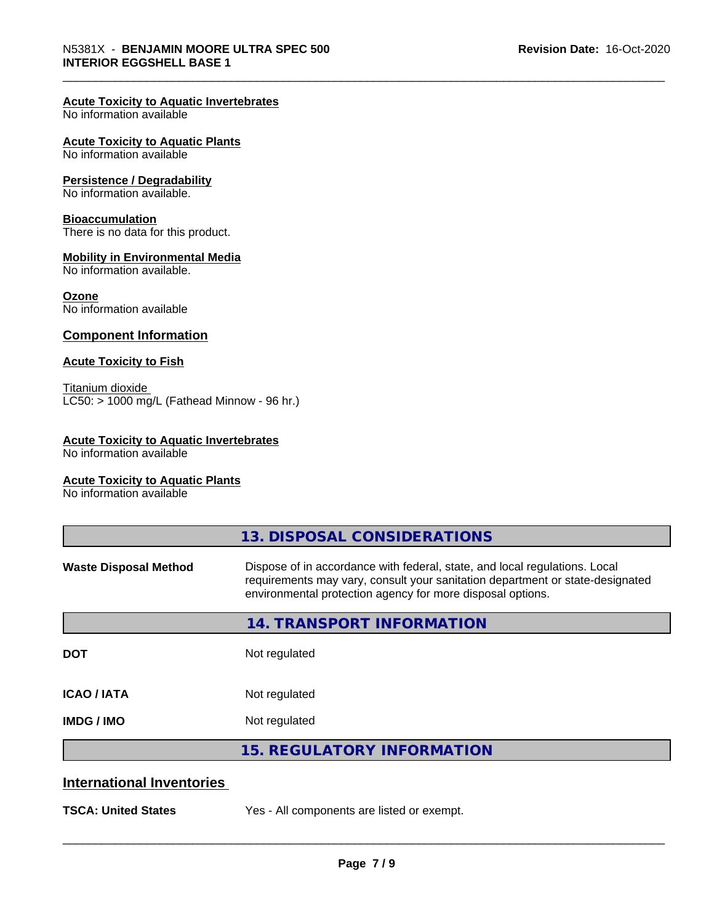#### **Acute Toxicity to Aquatic Invertebrates**

No information available

#### **Acute Toxicity to Aquatic Plants**

No information available

#### **Persistence / Degradability**

No information available.

#### **Bioaccumulation**

There is no data for this product.

#### **Mobility in Environmental Media**

No information available.

#### **Ozone**

No information available

#### **Component Information**

#### **Acute Toxicity to Fish**

Titanium dioxide  $\overline{\text{LC50:}}$  > 1000 mg/L (Fathead Minnow - 96 hr.)

#### **Acute Toxicity to Aquatic Invertebrates**

No information available

#### **Acute Toxicity to Aquatic Plants**

No information available

|                                  | 13. DISPOSAL CONSIDERATIONS                                                                                                                                                                                               |
|----------------------------------|---------------------------------------------------------------------------------------------------------------------------------------------------------------------------------------------------------------------------|
| <b>Waste Disposal Method</b>     | Dispose of in accordance with federal, state, and local regulations. Local<br>requirements may vary, consult your sanitation department or state-designated<br>environmental protection agency for more disposal options. |
|                                  | <b>14. TRANSPORT INFORMATION</b>                                                                                                                                                                                          |
| <b>DOT</b>                       | Not regulated                                                                                                                                                                                                             |
| <b>ICAO/IATA</b>                 | Not regulated                                                                                                                                                                                                             |
| <b>IMDG/IMO</b>                  | Not regulated                                                                                                                                                                                                             |
|                                  | <b>15. REGULATORY INFORMATION</b>                                                                                                                                                                                         |
| <b>International Inventories</b> |                                                                                                                                                                                                                           |
| <b>TSCA: United States</b>       | Yes - All components are listed or exempt.                                                                                                                                                                                |
|                                  |                                                                                                                                                                                                                           |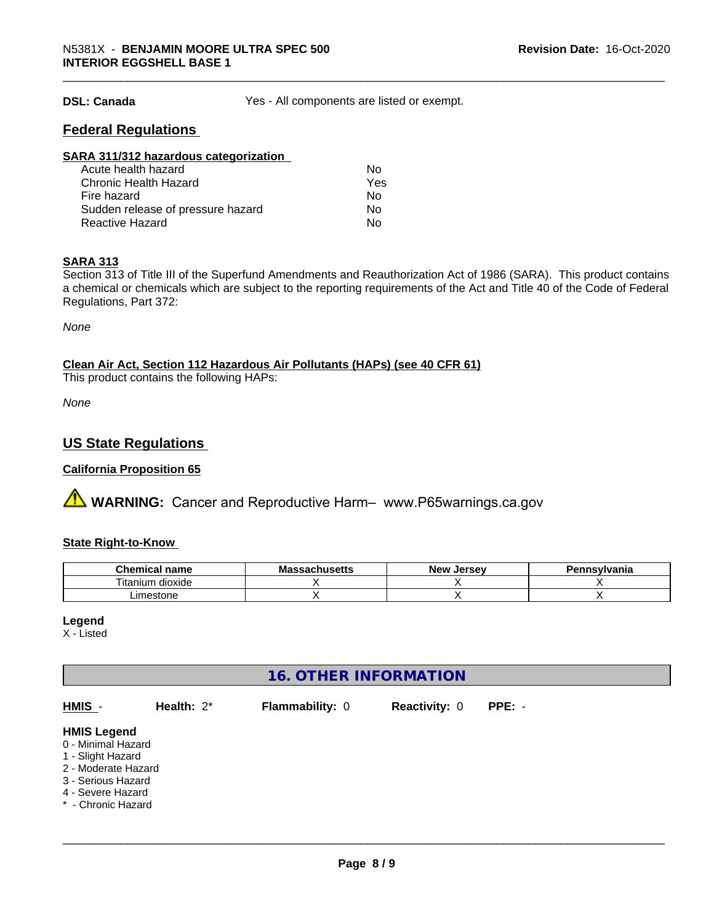**DSL: Canada** Yes - All components are listed or exempt.

# **Federal Regulations**

| SARA 311/312 hazardous categorization |     |  |
|---------------------------------------|-----|--|
| Acute health hazard                   | Nο  |  |
| <b>Chronic Health Hazard</b>          | Yes |  |
| Fire hazard                           | Nο  |  |
| Sudden release of pressure hazard     | Nο  |  |
| <b>Reactive Hazard</b>                | No  |  |

#### **SARA 313**

Section 313 of Title III of the Superfund Amendments and Reauthorization Act of 1986 (SARA). This product contains a chemical or chemicals which are subject to the reporting requirements of the Act and Title 40 of the Code of Federal Regulations, Part 372:

*None*

# **Clean Air Act,Section 112 Hazardous Air Pollutants (HAPs) (see 40 CFR 61)**

This product contains the following HAPs:

*None*

# **US State Regulations**

#### **California Proposition 65**

**A WARNING:** Cancer and Reproductive Harm– www.P65warnings.ca.gov

#### **State Right-to-Know**

| <u>т.</u><br>hemical name            | $\cdots$<br>мә<br>saunus <del>c</del> us | . Jersev<br><b>Nev</b> | Pennsvlvania |
|--------------------------------------|------------------------------------------|------------------------|--------------|
| <b></b><br><br>dioxide<br>l itanium. |                                          |                        |              |
| .imestone                            |                                          |                        |              |

#### **Legend**

X - Listed

# **16. OTHER INFORMATION**

| HMIS -                                                                                                                                                | Health: $2^*$ | <b>Flammability: 0</b> | <b>Reactivity: 0</b> | $PPE: -$ |  |
|-------------------------------------------------------------------------------------------------------------------------------------------------------|---------------|------------------------|----------------------|----------|--|
| <b>HMIS Legend</b><br>0 - Minimal Hazard<br>1 - Slight Hazard<br>2 - Moderate Hazard<br>3 - Serious Hazard<br>4 - Severe Hazard<br>* - Chronic Hazard |               |                        |                      |          |  |
|                                                                                                                                                       |               |                        |                      |          |  |